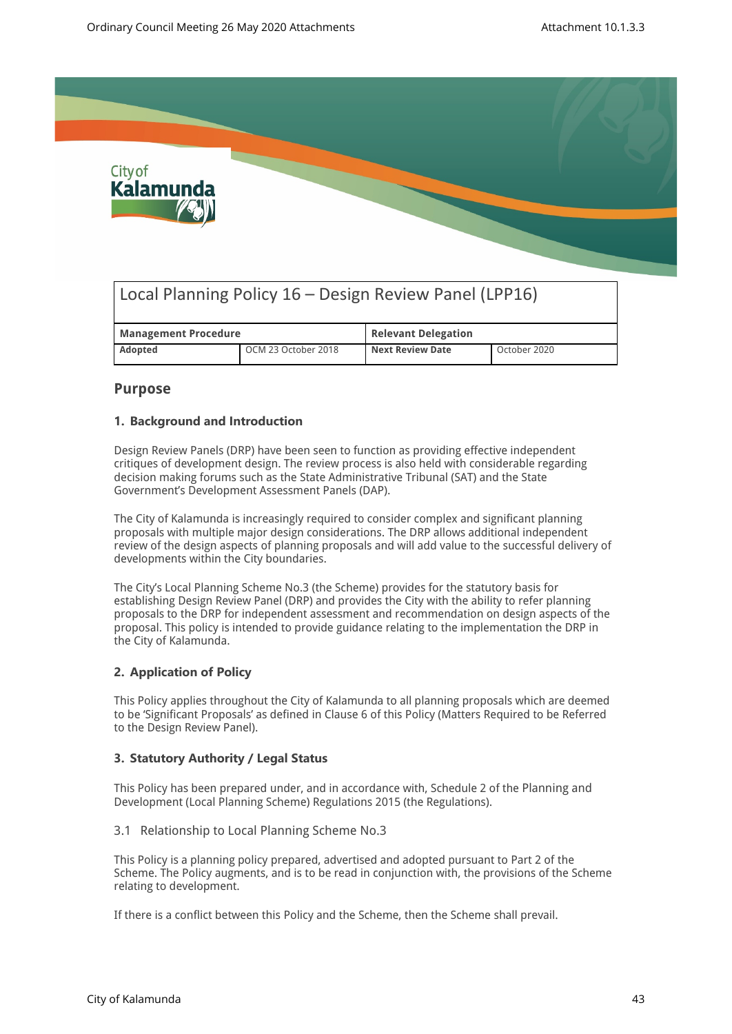

# Local Planning Policy 16 – Design Review Panel (LPP16)

| <b>Management Procedure</b> |                     | <b>Relevant Delegation</b> |              |
|-----------------------------|---------------------|----------------------------|--------------|
| <b>Adopted</b>              | OCM 23 October 2018 | <b>Next Review Date</b>    | October 2020 |

## **Purpose**

## **1. Background and Introduction**

Design Review Panels (DRP) have been seen to function as providing effective independent critiques of development design. The review process is also held with considerable regarding decision making forums such as the State Administrative Tribunal (SAT) and the State Government's Development Assessment Panels (DAP).

The City of Kalamunda is increasingly required to consider complex and significant planning proposals with multiple major design considerations. The DRP allows additional independent review of the design aspects of planning proposals and will add value to the successful delivery of developments within the City boundaries.

The City's Local Planning Scheme No.3 (the Scheme) provides for the statutory basis for establishing Design Review Panel (DRP) and provides the City with the ability to refer planning proposals to the DRP for independent assessment and recommendation on design aspects of the proposal. This policy is intended to provide guidance relating to the implementation the DRP in the City of Kalamunda.

## **2. Application of Policy**

This Policy applies throughout the City of Kalamunda to all planning proposals which are deemed to be 'Significant Proposals' as defined in Clause 6 of this Policy (Matters Required to be Referred to the Design Review Panel).

## **3. Statutory Authority / Legal Status**

This Policy has been prepared under, and in accordance with, Schedule 2 of the Planning and Development (Local Planning Scheme) Regulations 2015 (the Regulations).

3.1 Relationship to Local Planning Scheme No.3

This Policy is a planning policy prepared, advertised and adopted pursuant to Part 2 of the Scheme. The Policy augments, and is to be read in conjunction with, the provisions of the Scheme relating to development.

If there is a conflict between this Policy and the Scheme, then the Scheme shall prevail.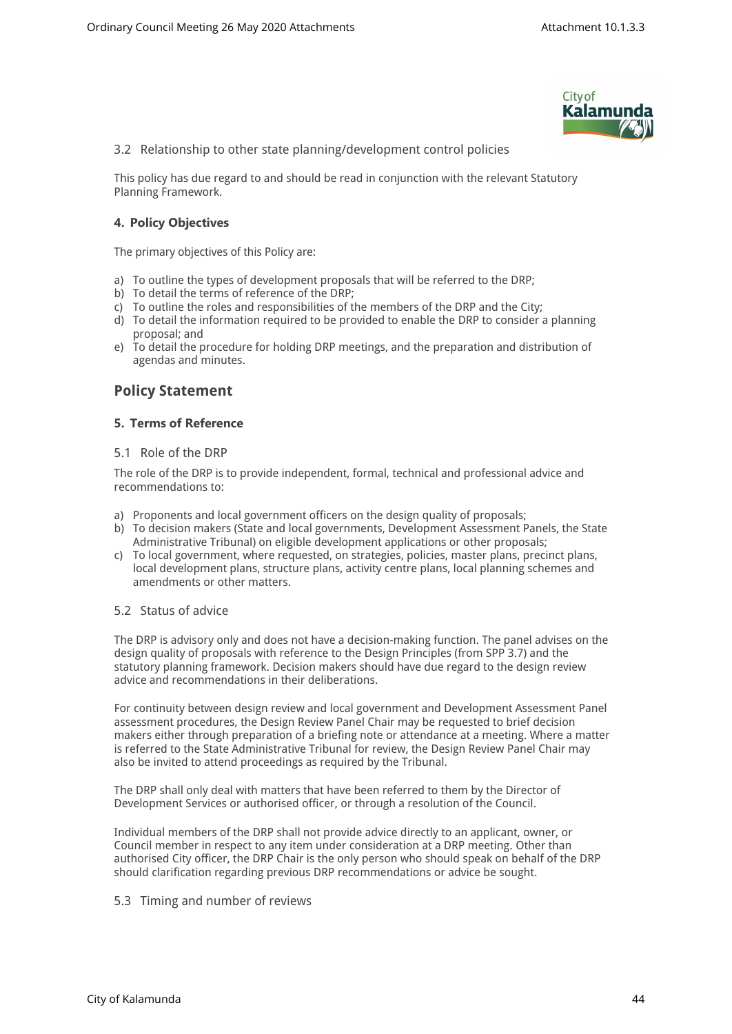

3.2 Relationship to other state planning/development control policies

This policy has due regard to and should be read in conjunction with the relevant Statutory Planning Framework.

## **4. Policy Objectives**

The primary objectives of this Policy are:

- a) To outline the types of development proposals that will be referred to the DRP;
- b) To detail the terms of reference of the DRP;
- c) To outline the roles and responsibilities of the members of the DRP and the City;
- d) To detail the information required to be provided to enable the DRP to consider a planning proposal; and
- e) To detail the procedure for holding DRP meetings, and the preparation and distribution of agendas and minutes.

## **Policy Statement**

## **5. Terms of Reference**

#### 5.1 Role of the DRP

The role of the DRP is to provide independent, formal, technical and professional advice and recommendations to:

- a) Proponents and local government officers on the design quality of proposals;
- b) To decision makers (State and local governments, Development Assessment Panels, the State Administrative Tribunal) on eligible development applications or other proposals;
- c) To local government, where requested, on strategies, policies, master plans, precinct plans, local development plans, structure plans, activity centre plans, local planning schemes and amendments or other matters.

#### 5.2 Status of advice

The DRP is advisory only and does not have a decision-making function. The panel advises on the design quality of proposals with reference to the Design Principles (from SPP 3.7) and the statutory planning framework. Decision makers should have due regard to the design review advice and recommendations in their deliberations.

For continuity between design review and local government and Development Assessment Panel assessment procedures, the Design Review Panel Chair may be requested to brief decision makers either through preparation of a briefing note or attendance at a meeting. Where a matter is referred to the State Administrative Tribunal for review, the Design Review Panel Chair may also be invited to attend proceedings as required by the Tribunal.

The DRP shall only deal with matters that have been referred to them by the Director of Development Services or authorised officer, or through a resolution of the Council.

Individual members of the DRP shall not provide advice directly to an applicant, owner, or Council member in respect to any item under consideration at a DRP meeting. Other than authorised City officer, the DRP Chair is the only person who should speak on behalf of the DRP should clarification regarding previous DRP recommendations or advice be sought.

#### 5.3 Timing and number of reviews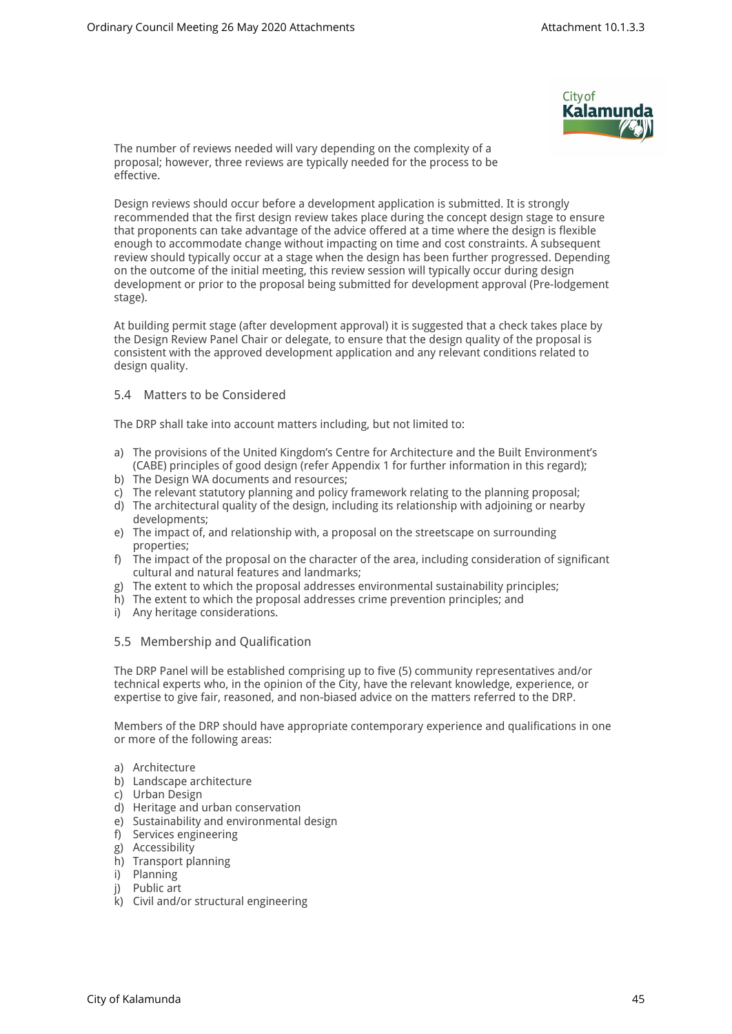

The number of reviews needed will vary depending on the complexity of a proposal; however, three reviews are typically needed for the process to be effective.

Design reviews should occur before a development application is submitted. It is strongly recommended that the first design review takes place during the concept design stage to ensure that proponents can take advantage of the advice offered at a time where the design is flexible enough to accommodate change without impacting on time and cost constraints. A subsequent review should typically occur at a stage when the design has been further progressed. Depending on the outcome of the initial meeting, this review session will typically occur during design development or prior to the proposal being submitted for development approval (Pre-lodgement stage).

At building permit stage (after development approval) it is suggested that a check takes place by the Design Review Panel Chair or delegate, to ensure that the design quality of the proposal is consistent with the approved development application and any relevant conditions related to design quality.

## 5.4 Matters to be Considered

The DRP shall take into account matters including, but not limited to:

- a) The provisions of the United Kingdom's Centre for Architecture and the Built Environment's (CABE) principles of good design (refer Appendix 1 for further information in this regard);
- b) The Design WA documents and resources;
- c) The relevant statutory planning and policy framework relating to the planning proposal;
- d) The architectural quality of the design, including its relationship with adjoining or nearby developments;
- e) The impact of, and relationship with, a proposal on the streetscape on surrounding properties;
- f) The impact of the proposal on the character of the area, including consideration of significant cultural and natural features and landmarks;
- g) The extent to which the proposal addresses environmental sustainability principles;
- h) The extent to which the proposal addresses crime prevention principles; and
- i) Any heritage considerations.

## 5.5 Membership and Qualification

The DRP Panel will be established comprising up to five (5) community representatives and/or technical experts who, in the opinion of the City, have the relevant knowledge, experience, or expertise to give fair, reasoned, and non-biased advice on the matters referred to the DRP.

Members of the DRP should have appropriate contemporary experience and qualifications in one or more of the following areas:

- a) Architecture
- b) Landscape architecture
- c) Urban Design
- d) Heritage and urban conservation
- e) Sustainability and environmental design
- f) Services engineering
- g) Accessibility
- h) Transport planning
- i) Planning
- j) Public art
- k) Civil and/or structural engineering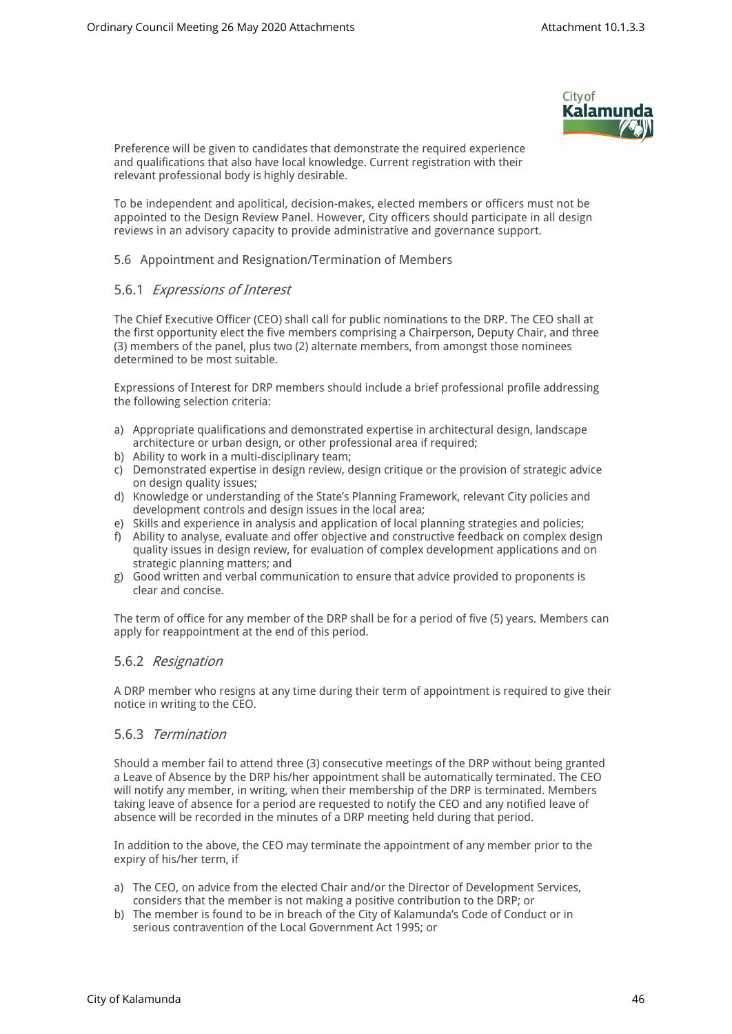

Preference will be given to candidates that demonstrate the required experience and qualifications that also have local knowledge. Current registration with their relevant professional body is highly desirable.

To be independent and apolitical, decision-makes, elected members or officers must not be appointed to the Design Review Panel. However, City officers should participate in all design reviews in an advisory capacity to provide administrative and governance support.

#### 5.6 Appointment and Resignation/Termination of Members

## 5.6.1 *Expressions of Interest*

The Chief Executive Officer (CEO) shall call for public nominations to the DRP. The CEO shall at the first opportunity elect the five members comprising a Chairperson, Deputy Chair, and three (3) members of the panel, plus two (2) alternate members, from amongst those nominees determined to be most suitable.

Expressions of Interest for DRP members should include a brief professional profile addressing the following selection criteria:

- a) Appropriate qualifications and demonstrated expertise in architectural design, landscape architecture or urban design, or other professional area if required;
- b) Ability to work in a multi-disciplinary team;
- c) Demonstrated expertise in design review, design critique or the provision of strategic advice on design quality issues;
- d) Knowledge or understanding of the State's Planning Framework, relevant City policies and development controls and design issues in the local area;
- e) Skills and experience in analysis and application of local planning strategies and policies;
- f) Ability to analyse, evaluate and offer objective and constructive feedback on complex design quality issues in design review, for evaluation of complex development applications and on strategic planning matters; and
- g) Good written and verbal communication to ensure that advice provided to proponents is clear and concise.

The term of office for any member of the DRP shall be for a period of five (5) years. Members can apply for reappointment at the end of this period.

## 5.6.2 *Resignation*

A DRP member who resigns at any time during their term of appointment is required to give their notice in writing to the CEO.

## 5.6.3 *Termination*

Should a member fail to attend three (3) consecutive meetings of the DRP without being granted a Leave of Absence by the DRP his/her appointment shall be automatically terminated. The CEO will notify any member, in writing, when their membership of the DRP is terminated. Members taking leave of absence for a period are requested to notify the CEO and any notified leave of absence will be recorded in the minutes of a DRP meeting held during that period.

In addition to the above, the CEO may terminate the appointment of any member prior to the expiry of his/her term, if

- a) The CEO, on advice from the elected Chair and/or the Director of Development Services, considers that the member is not making a positive contribution to the DRP; or
- b) The member is found to be in breach of the City of Kalamunda's Code of Conduct or in serious contravention of the Local Government Act 1995; or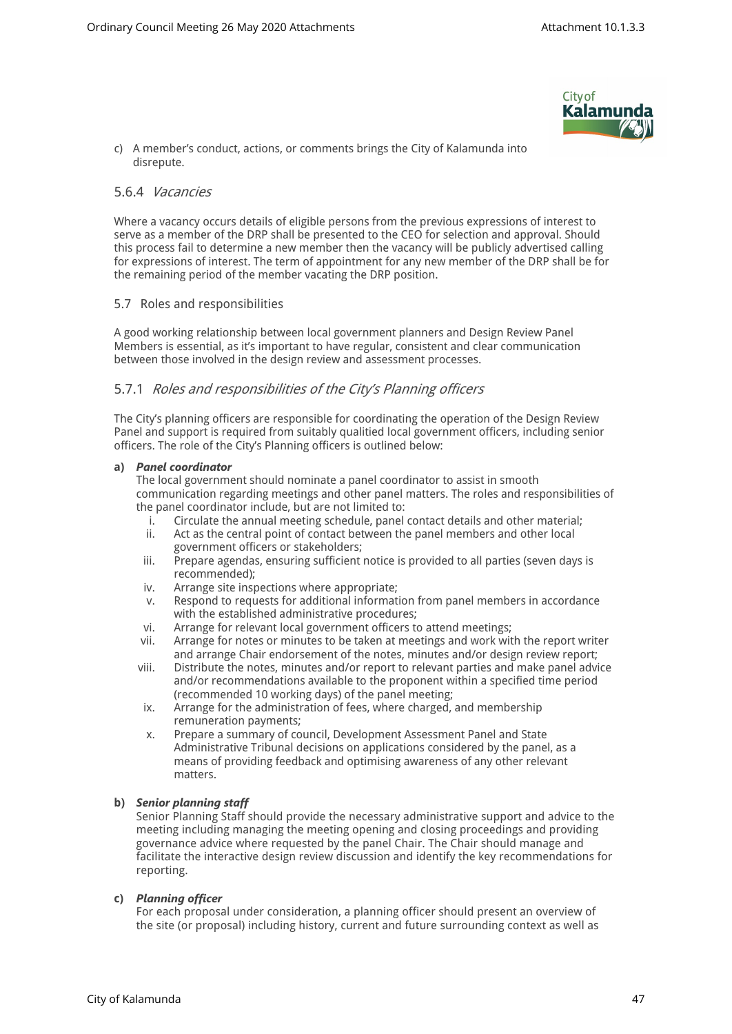

c) A member's conduct, actions, or comments brings the City of Kalamunda into disrepute.

### 5.6.4 *Vacancies*

Where a vacancy occurs details of eligible persons from the previous expressions of interest to serve as a member of the DRP shall be presented to the CEO for selection and approval. Should this process fail to determine a new member then the vacancy will be publicly advertised calling for expressions of interest. The term of appointment for any new member of the DRP shall be for the remaining period of the member vacating the DRP position.

#### 5.7 Roles and responsibilities

A good working relationship between local government planners and Design Review Panel Members is essential, as it's important to have regular, consistent and clear communication between those involved in the design review and assessment processes.

## 5.7.1 *Roles and responsibilities of the City's Planning officers*

The City's planning officers are responsible for coordinating the operation of the Design Review Panel and support is required from suitably qualitied local government officers, including senior officers. The role of the City's Planning officers is outlined below:

#### **a)** *Panel coordinator*

The local government should nominate a panel coordinator to assist in smooth communication regarding meetings and other panel matters. The roles and responsibilities of the panel coordinator include, but are not limited to:

- i. Circulate the annual meeting schedule, panel contact details and other material;
- ii. Act as the central point of contact between the panel members and other local government officers or stakeholders;
- iii. Prepare agendas, ensuring sufficient notice is provided to all parties (seven days is recommended);
- iv. Arrange site inspections where appropriate;
- v. Respond to requests for additional information from panel members in accordance with the established administrative procedures;
- vi. Arrange for relevant local government officers to attend meetings;
- vii. Arrange for notes or minutes to be taken at meetings and work with the report writer and arrange Chair endorsement of the notes, minutes and/or design review report;
- viii. Distribute the notes, minutes and/or report to relevant parties and make panel advice and/or recommendations available to the proponent within a specified time period (recommended 10 working days) of the panel meeting;
- ix. Arrange for the administration of fees, where charged, and membership remuneration payments;
- x. Prepare a summary of council, Development Assessment Panel and State Administrative Tribunal decisions on applications considered by the panel, as a means of providing feedback and optimising awareness of any other relevant matters.

#### **b)** *Senior planning staff*

Senior Planning Staff should provide the necessary administrative support and advice to the meeting including managing the meeting opening and closing proceedings and providing governance advice where requested by the panel Chair. The Chair should manage and facilitate the interactive design review discussion and identify the key recommendations for reporting.

#### **c)** *Planning officer*

For each proposal under consideration, a planning officer should present an overview of the site (or proposal) including history, current and future surrounding context as well as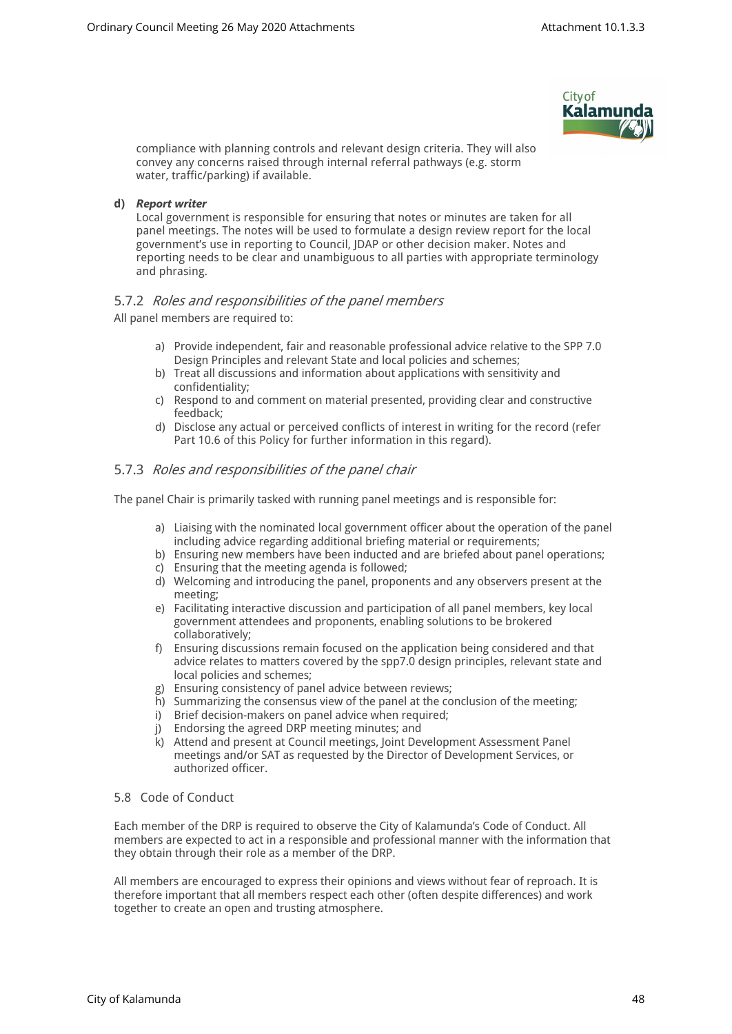

compliance with planning controls and relevant design criteria. They will also convey any concerns raised through internal referral pathways (e.g. storm water, traffic/parking) if available.

#### **d)** *Report writer*

Local government is responsible for ensuring that notes or minutes are taken for all panel meetings. The notes will be used to formulate a design review report for the local government's use in reporting to Council, JDAP or other decision maker. Notes and reporting needs to be clear and unambiguous to all parties with appropriate terminology and phrasing.

## 5.7.2 *Roles and responsibilities of the panel members*

All panel members are required to:

- a) Provide independent, fair and reasonable professional advice relative to the SPP 7.0 Design Principles and relevant State and local policies and schemes;
- b) Treat all discussions and information about applications with sensitivity and confidentiality;
- c) Respond to and comment on material presented, providing clear and constructive feedback;
- d) Disclose any actual or perceived conflicts of interest in writing for the record (refer Part 10.6 of this Policy for further information in this regard).

## 5.7.3 *Roles and responsibilities of the panel chair*

The panel Chair is primarily tasked with running panel meetings and is responsible for:

- a) Liaising with the nominated local government officer about the operation of the panel including advice regarding additional briefing material or requirements;
- b) Ensuring new members have been inducted and are briefed about panel operations;
- c) Ensuring that the meeting agenda is followed;
- d) Welcoming and introducing the panel, proponents and any observers present at the meeting;
- e) Facilitating interactive discussion and participation of all panel members, key local government attendees and proponents, enabling solutions to be brokered collaboratively;
- f) Ensuring discussions remain focused on the application being considered and that advice relates to matters covered by the spp7.0 design principles, relevant state and local policies and schemes;
- g) Ensuring consistency of panel advice between reviews;
- h) Summarizing the consensus view of the panel at the conclusion of the meeting;
- i) Brief decision-makers on panel advice when required;
- j) Endorsing the agreed DRP meeting minutes; and
- k) Attend and present at Council meetings, Joint Development Assessment Panel meetings and/or SAT as requested by the Director of Development Services, or authorized officer.

## 5.8 Code of Conduct

Each member of the DRP is required to observe the City of Kalamunda's Code of Conduct. All members are expected to act in a responsible and professional manner with the information that they obtain through their role as a member of the DRP.

All members are encouraged to express their opinions and views without fear of reproach. It is therefore important that all members respect each other (often despite differences) and work together to create an open and trusting atmosphere.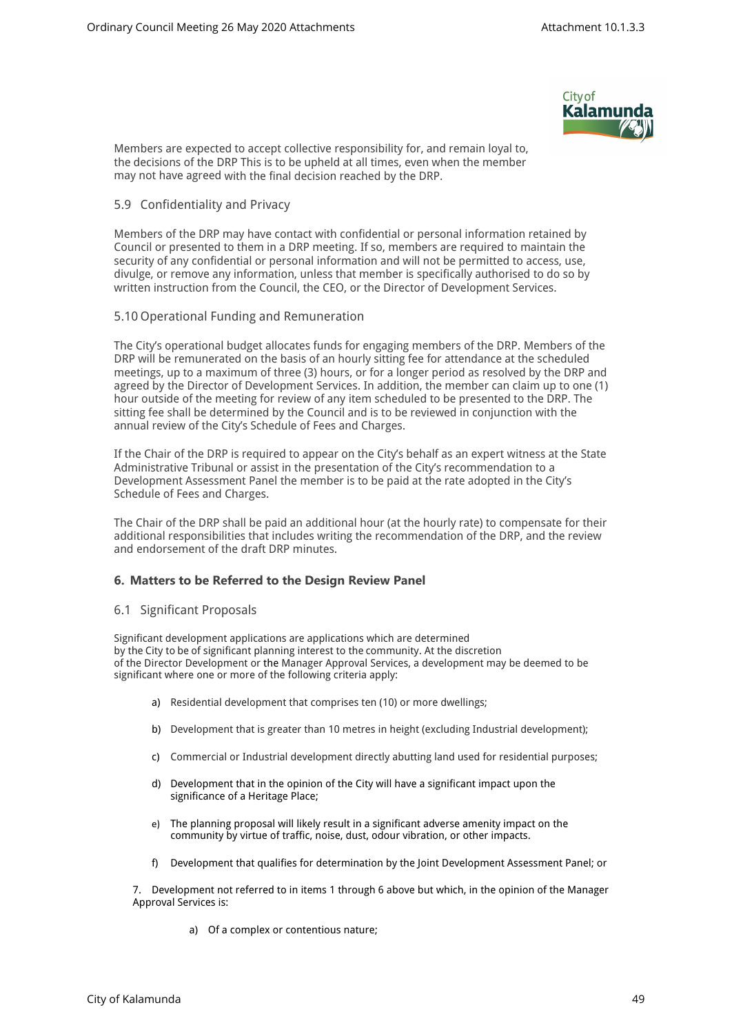

Members are expected to accept collective responsibility for, and remain loyal to, the decisions of the DRP This is to be upheld at all times, even when the member may not have agreed with the final decision reached by the DRP.

#### 5.9 Confidentiality and Privacy

Members of the DRP may have contact with confidential or personal information retained by Council or presented to them in a DRP meeting. If so, members are required to maintain the security of any confidential or personal information and will not be permitted to access, use, divulge, or remove any information, unless that member is specifically authorised to do so by written instruction from the Council, the CEO, or the Director of Development Services.

#### 5.10 Operational Funding and Remuneration

The City's operational budget allocates funds for engaging members of the DRP. Members of the DRP will be remunerated on the basis of an hourly sitting fee for attendance at the scheduled meetings, up to a maximum of three (3) hours, or for a longer period as resolved by the DRP and agreed by the Director of Development Services. In addition, the member can claim up to one (1) hour outside of the meeting for review of any item scheduled to be presented to the DRP. The sitting fee shall be determined by the Council and is to be reviewed in conjunction with the annual review of the City's Schedule of Fees and Charges.

If the Chair of the DRP is required to appear on the City's behalf as an expert witness at the State Administrative Tribunal or assist in the presentation of the City's recommendation to a Development Assessment Panel the member is to be paid at the rate adopted in the City's Schedule of Fees and Charges.

The Chair of the DRP shall be paid an additional hour (at the hourly rate) to compensate for their additional responsibilities that includes writing the recommendation of the DRP, and the review and endorsement of the draft DRP minutes.

#### **6. Matters to be Referred to the Design Review Panel**

#### 6.1 Significant Proposals

Significant development applications are applications which are determined by the City to be of significant planning interest to the community. At the discretion of the Director Development or the Manager Approval Services, a development may be deemed to be significant where one or more of the following criteria apply:

- a) Residential development that comprises ten (10) or more dwellings;
- b) Development that is greater than 10 metres in height (excluding Industrial development);
- c) Commercial or Industrial development directly abutting land used for residential purposes;
- d) Development that in the opinion of the City will have a significant impact upon the significance of a Heritage Place;
- e) The planning proposal will likely result in a significant adverse amenity impact on the community by virtue of traffic, noise, dust, odour vibration, or other impacts.
- f) Development that qualifies for determination by the Joint Development Assessment Panel; or

7. Development not referred to in items 1 through 6 above but which, in the opinion of the Manager Approval Services is:

a) Of a complex or contentious nature;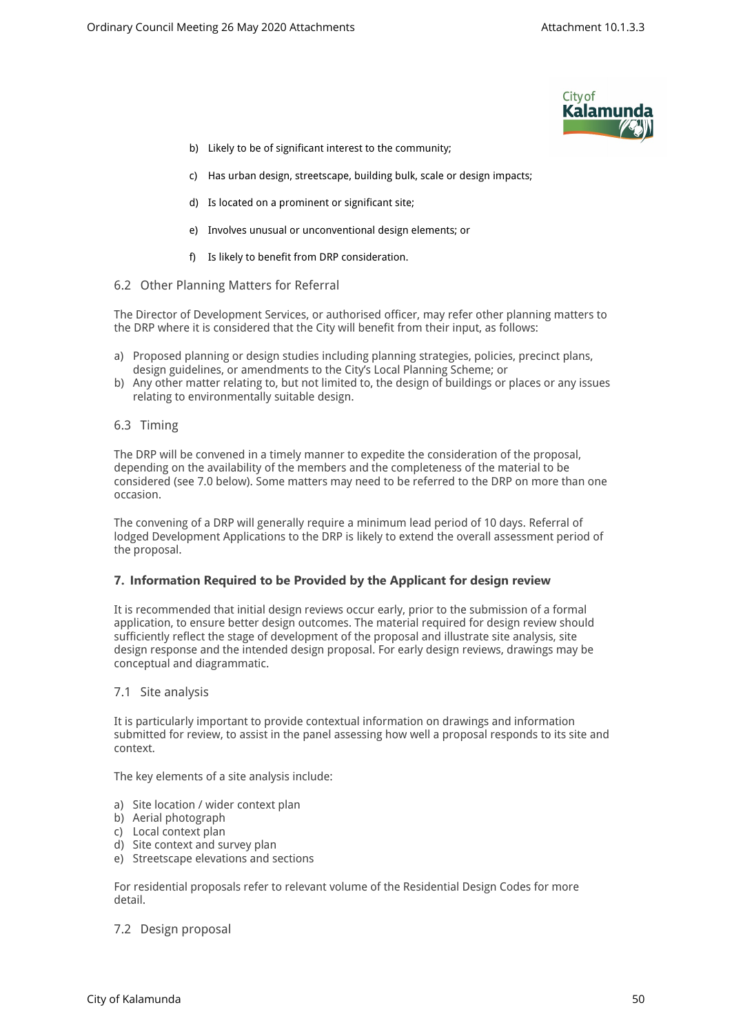

- b) Likely to be of significant interest to the community;
- c) Has urban design, streetscape, building bulk, scale or design impacts;
- d) Is located on a prominent or significant site;
- e) Involves unusual or unconventional design elements; or
- f) Is likely to benefit from DRP consideration.
- 6.2 Other Planning Matters for Referral

The Director of Development Services, or authorised officer, may refer other planning matters to the DRP where it is considered that the City will benefit from their input, as follows:

- a) Proposed planning or design studies including planning strategies, policies, precinct plans, design guidelines, or amendments to the City's Local Planning Scheme; or
- b) Any other matter relating to, but not limited to, the design of buildings or places or any issues relating to environmentally suitable design.
- 6.3 Timing

The DRP will be convened in a timely manner to expedite the consideration of the proposal, depending on the availability of the members and the completeness of the material to be considered (see 7.0 below). Some matters may need to be referred to the DRP on more than one occasion.

The convening of a DRP will generally require a minimum lead period of 10 days. Referral of lodged Development Applications to the DRP is likely to extend the overall assessment period of the proposal.

#### **7. Information Required to be Provided by the Applicant for design review**

It is recommended that initial design reviews occur early, prior to the submission of a formal application, to ensure better design outcomes. The material required for design review should sufficiently reflect the stage of development of the proposal and illustrate site analysis, site design response and the intended design proposal. For early design reviews, drawings may be conceptual and diagrammatic.

#### 7.1 Site analysis

It is particularly important to provide contextual information on drawings and information submitted for review, to assist in the panel assessing how well a proposal responds to its site and context.

The key elements of a site analysis include:

- a) Site location / wider context plan
- b) Aerial photograph
- c) Local context plan
- d) Site context and survey plan
- e) Streetscape elevations and sections

For residential proposals refer to relevant volume of the Residential Design Codes for more detail.

7.2 Design proposal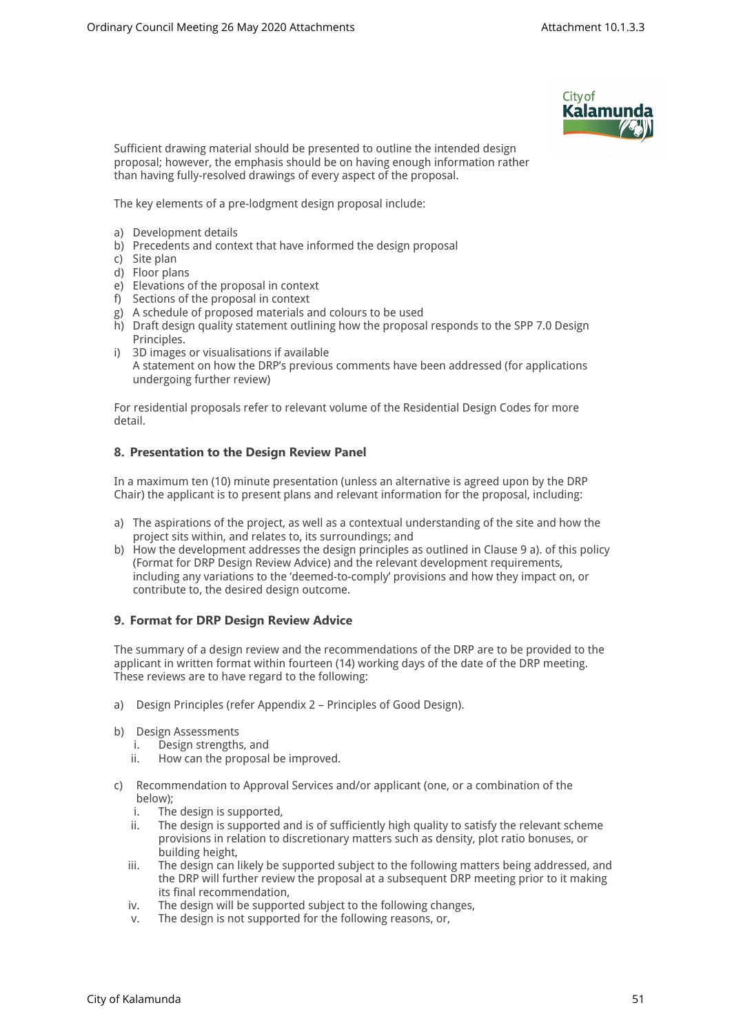

Sufficient drawing material should be presented to outline the intended design proposal; however, the emphasis should be on having enough information rather than having fully-resolved drawings of every aspect of the proposal.

The key elements of a pre-lodgment design proposal include:

- a) Development details
- b) Precedents and context that have informed the design proposal
- c) Site plan
- d) Floor plans
- e) Elevations of the proposal in context
- f) Sections of the proposal in context
- g) A schedule of proposed materials and colours to be used
- h) Draft design quality statement outlining how the proposal responds to the SPP 7.0 Design Principles.
- i) 3D images or visualisations if available A statement on how the DRP's previous comments have been addressed (for applications undergoing further review)

For residential proposals refer to relevant volume of the Residential Design Codes for more detail.

## **8. Presentation to the Design Review Panel**

In a maximum ten (10) minute presentation (unless an alternative is agreed upon by the DRP Chair) the applicant is to present plans and relevant information for the proposal, including:

- a) The aspirations of the project, as well as a contextual understanding of the site and how the project sits within, and relates to, its surroundings; and
- b) How the development addresses the design principles as outlined in Clause 9 a). of this policy (Format for DRP Design Review Advice) and the relevant development requirements, including any variations to the 'deemed-to-comply' provisions and how they impact on, or contribute to, the desired design outcome.

## **9. Format for DRP Design Review Advice**

The summary of a design review and the recommendations of the DRP are to be provided to the applicant in written format within fourteen (14) working days of the date of the DRP meeting. These reviews are to have regard to the following:

- a) Design Principles (refer Appendix 2 Principles of Good Design).
- b) Design Assessments
	- i. Design strengths, and
	- ii. How can the proposal be improved.
- c) Recommendation to Approval Services and/or applicant (one, or a combination of the below);<br>i. The
	- The design is supported,
	- ii. The design is supported and is of sufficiently high quality to satisfy the relevant scheme provisions in relation to discretionary matters such as density, plot ratio bonuses, or building height,
	- iii. The design can likely be supported subject to the following matters being addressed, and the DRP will further review the proposal at a subsequent DRP meeting prior to it making its final recommendation,
	- iv. The design will be supported subject to the following changes,
	- v. The design is not supported for the following reasons, or,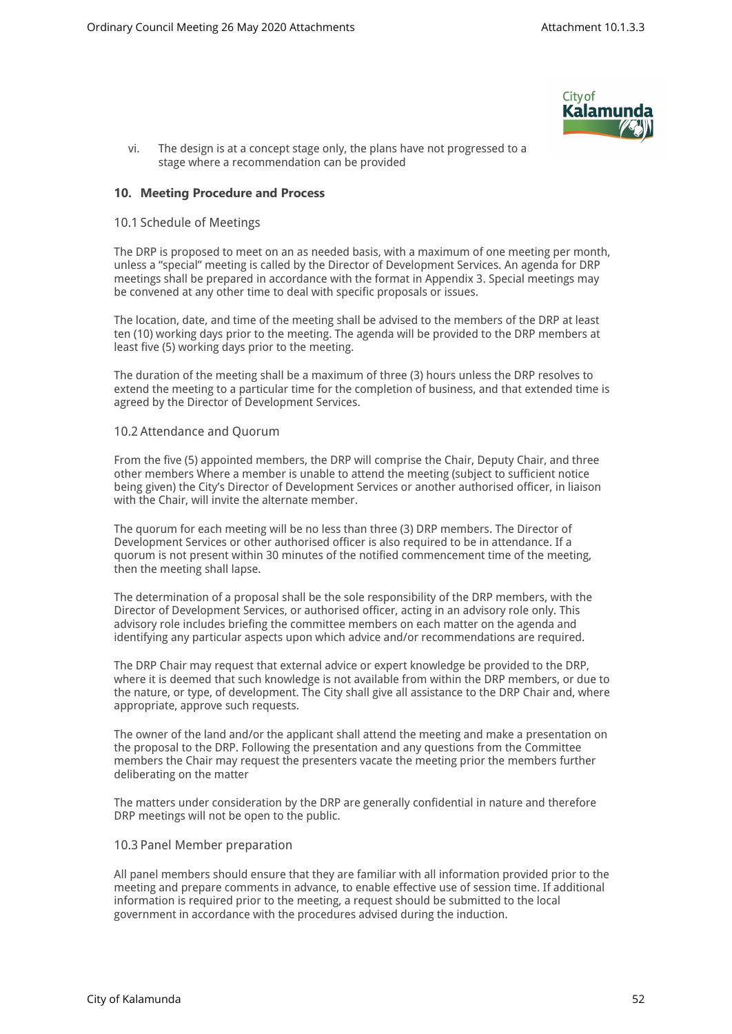

vi. The design is at a concept stage only, the plans have not progressed to a stage where a recommendation can be provided

#### **10. Meeting Procedure and Process**

#### 10.1 Schedule of Meetings

The DRP is proposed to meet on an as needed basis, with a maximum of one meeting per month, unless a "special" meeting is called by the Director of Development Services. An agenda for DRP meetings shall be prepared in accordance with the format in Appendix 3. Special meetings may be convened at any other time to deal with specific proposals or issues.

The location, date, and time of the meeting shall be advised to the members of the DRP at least ten (10) working days prior to the meeting. The agenda will be provided to the DRP members at least five (5) working days prior to the meeting.

The duration of the meeting shall be a maximum of three (3) hours unless the DRP resolves to extend the meeting to a particular time for the completion of business, and that extended time is agreed by the Director of Development Services.

#### 10.2 Attendance and Quorum

From the five (5) appointed members, the DRP will comprise the Chair, Deputy Chair, and three other members Where a member is unable to attend the meeting (subject to sufficient notice being given) the City's Director of Development Services or another authorised officer, in liaison with the Chair, will invite the alternate member.

The quorum for each meeting will be no less than three (3) DRP members. The Director of Development Services or other authorised officer is also required to be in attendance. If a quorum is not present within 30 minutes of the notified commencement time of the meeting, then the meeting shall lapse.

The determination of a proposal shall be the sole responsibility of the DRP members, with the Director of Development Services, or authorised officer, acting in an advisory role only. This advisory role includes briefing the committee members on each matter on the agenda and identifying any particular aspects upon which advice and/or recommendations are required.

The DRP Chair may request that external advice or expert knowledge be provided to the DRP, where it is deemed that such knowledge is not available from within the DRP members, or due to the nature, or type, of development. The City shall give all assistance to the DRP Chair and, where appropriate, approve such requests.

The owner of the land and/or the applicant shall attend the meeting and make a presentation on the proposal to the DRP. Following the presentation and any questions from the Committee members the Chair may request the presenters vacate the meeting prior the members further deliberating on the matter

The matters under consideration by the DRP are generally confidential in nature and therefore DRP meetings will not be open to the public.

#### 10.3 Panel Member preparation

All panel members should ensure that they are familiar with all information provided prior to the meeting and prepare comments in advance, to enable effective use of session time. If additional information is required prior to the meeting, a request should be submitted to the local government in accordance with the procedures advised during the induction.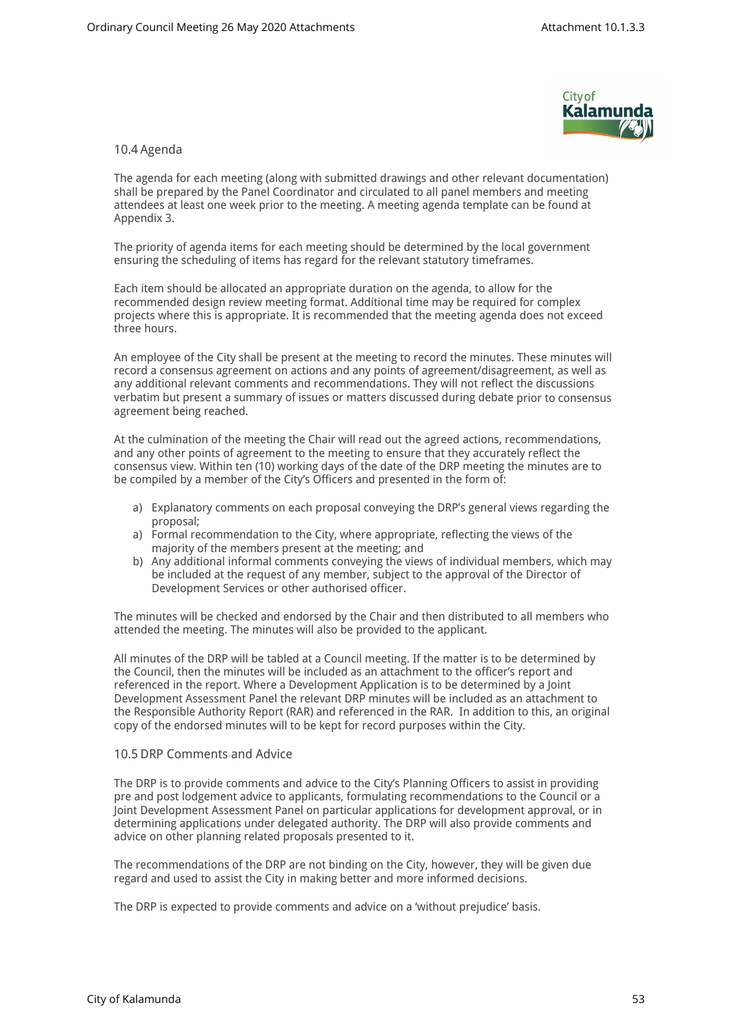

#### 10.4 Agenda

The agenda for each meeting (along with submitted drawings and other relevant documentation) shall be prepared by the Panel Coordinator and circulated to all panel members and meeting attendees at least one week prior to the meeting. A meeting agenda template can be found at Appendix 3.

The priority of agenda items for each meeting should be determined by the local government ensuring the scheduling of items has regard for the relevant statutory timeframes.

Each item should be allocated an appropriate duration on the agenda, to allow for the recommended design review meeting format. Additional time may be required for complex projects where this is appropriate. It is recommended that the meeting agenda does not exceed three hours.

An employee of the City shall be present at the meeting to record the minutes. These minutes will record a consensus agreement on actions and any points of agreement/disagreement, as well as any additional relevant comments and recommendations. They will not reflect the discussions verbatim but present a summary of issues or matters discussed during debate prior to consensus agreement being reached.

At the culmination of the meeting the Chair will read out the agreed actions, recommendations, and any other points of agreement to the meeting to ensure that they accurately reflect the consensus view. Within ten (10) working days of the date of the DRP meeting the minutes are to be compiled by a member of the City's Officers and presented in the form of:

- a) Explanatory comments on each proposal conveying the DRP's general views regarding the proposal;
- a) Formal recommendation to the City, where appropriate, reflecting the views of the majority of the members present at the meeting; and
- b) Any additional informal comments conveying the views of individual members, which may be included at the request of any member, subject to the approval of the Director of Development Services or other authorised officer.

The minutes will be checked and endorsed by the Chair and then distributed to all members who attended the meeting. The minutes will also be provided to the applicant.

All minutes of the DRP will be tabled at a Council meeting. If the matter is to be determined by the Council, then the minutes will be included as an attachment to the officer's report and referenced in the report. Where a Development Application is to be determined by a Joint Development Assessment Panel the relevant DRP minutes will be included as an attachment to the Responsible Authority Report (RAR) and referenced in the RAR. In addition to this, an original copy of the endorsed minutes will to be kept for record purposes within the City.

#### 10.5 DRP Comments and Advice

The DRP is to provide comments and advice to the City's Planning Officers to assist in providing pre and post lodgement advice to applicants, formulating recommendations to the Council or a Joint Development Assessment Panel on particular applications for development approval, or in determining applications under delegated authority. The DRP will also provide comments and advice on other planning related proposals presented to it.

The recommendations of the DRP are not binding on the City, however, they will be given due regard and used to assist the City in making better and more informed decisions.

The DRP is expected to provide comments and advice on a 'without prejudice' basis.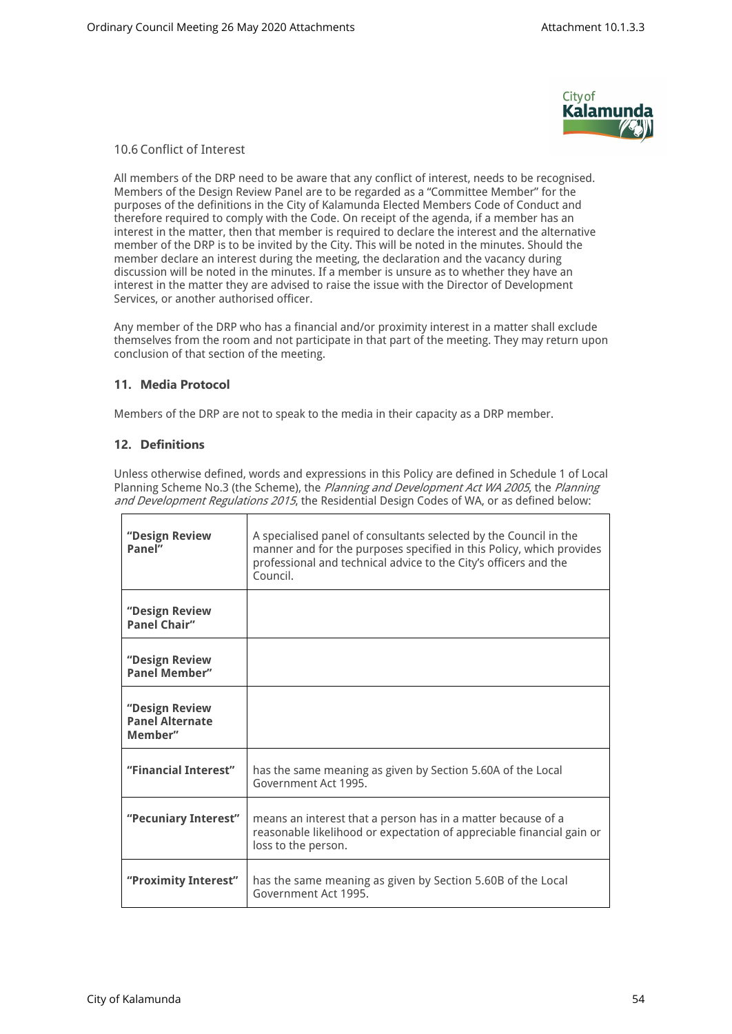

## 10.6 Conflict of Interest

All members of the DRP need to be aware that any conflict of interest, needs to be recognised. Members of the Design Review Panel are to be regarded as a "Committee Member" for the purposes of the definitions in the City of Kalamunda Elected Members Code of Conduct and therefore required to comply with the Code. On receipt of the agenda, if a member has an interest in the matter, then that member is required to declare the interest and the alternative member of the DRP is to be invited by the City. This will be noted in the minutes. Should the member declare an interest during the meeting, the declaration and the vacancy during discussion will be noted in the minutes. If a member is unsure as to whether they have an interest in the matter they are advised to raise the issue with the Director of Development Services, or another authorised officer.

Any member of the DRP who has a financial and/or proximity interest in a matter shall exclude themselves from the room and not participate in that part of the meeting. They may return upon conclusion of that section of the meeting.

## **11. Media Protocol**

Members of the DRP are not to speak to the media in their capacity as a DRP member.

## **12. Definitions**

Unless otherwise defined, words and expressions in this Policy are defined in Schedule 1 of Local Planning Scheme No.3 (the Scheme), the *Planning and Development Act WA 2005*, the *Planning and Development Regulations 2015*, the Residential Design Codes of WA, or as defined below:

| "Design Review<br>Panel"                            | A specialised panel of consultants selected by the Council in the<br>manner and for the purposes specified in this Policy, which provides<br>professional and technical advice to the City's officers and the<br>Council. |
|-----------------------------------------------------|---------------------------------------------------------------------------------------------------------------------------------------------------------------------------------------------------------------------------|
| "Design Review<br><b>Panel Chair"</b>               |                                                                                                                                                                                                                           |
| "Design Review<br><b>Panel Member"</b>              |                                                                                                                                                                                                                           |
| "Design Review<br><b>Panel Alternate</b><br>Member" |                                                                                                                                                                                                                           |
| "Financial Interest"                                | has the same meaning as given by Section 5.60A of the Local<br>Government Act 1995.                                                                                                                                       |
| "Pecuniary Interest"                                | means an interest that a person has in a matter because of a<br>reasonable likelihood or expectation of appreciable financial gain or<br>loss to the person.                                                              |
| "Proximity Interest"                                | has the same meaning as given by Section 5.60B of the Local<br>Government Act 1995.                                                                                                                                       |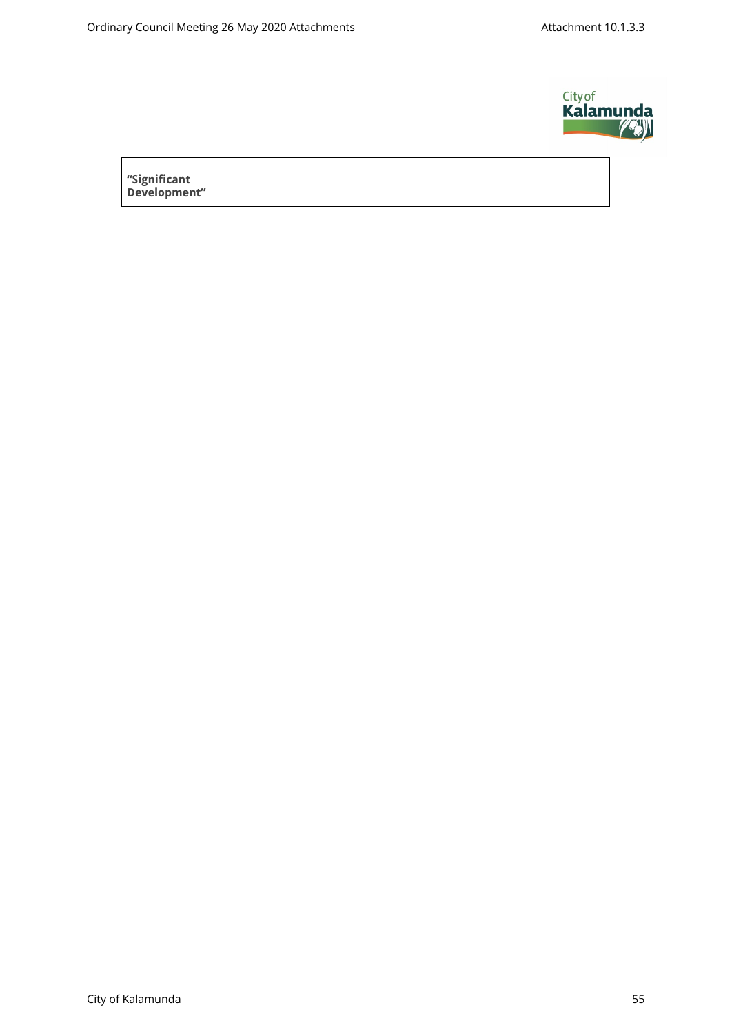$\mathsf{r}$ 



| significant" |  |  |
|--------------|--|--|
| Development" |  |  |
|              |  |  |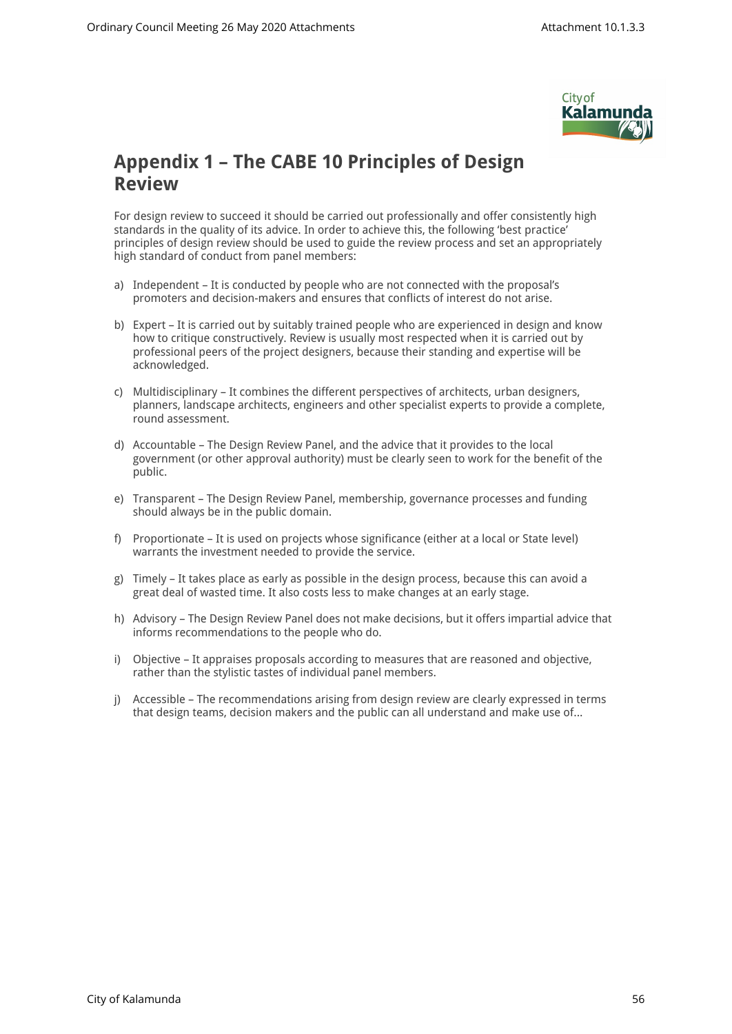

## **Appendix 1 – The CABE 10 Principles of Design Review**

For design review to succeed it should be carried out professionally and offer consistently high standards in the quality of its advice. In order to achieve this, the following 'best practice' principles of design review should be used to guide the review process and set an appropriately high standard of conduct from panel members:

- a) Independent It is conducted by people who are not connected with the proposal's promoters and decision-makers and ensures that conflicts of interest do not arise.
- b) Expert It is carried out by suitably trained people who are experienced in design and know how to critique constructively. Review is usually most respected when it is carried out by professional peers of the project designers, because their standing and expertise will be acknowledged.
- c) Multidisciplinary It combines the different perspectives of architects, urban designers, planners, landscape architects, engineers and other specialist experts to provide a complete, round assessment.
- d) Accountable The Design Review Panel, and the advice that it provides to the local government (or other approval authority) must be clearly seen to work for the benefit of the public.
- e) Transparent The Design Review Panel, membership, governance processes and funding should always be in the public domain.
- f) Proportionate It is used on projects whose significance (either at a local or State level) warrants the investment needed to provide the service.
- g) Timely It takes place as early as possible in the design process, because this can avoid a great deal of wasted time. It also costs less to make changes at an early stage.
- h) Advisory The Design Review Panel does not make decisions, but it offers impartial advice that informs recommendations to the people who do.
- i) Objective It appraises proposals according to measures that are reasoned and objective, rather than the stylistic tastes of individual panel members.
- j) Accessible The recommendations arising from design review are clearly expressed in terms that design teams, decision makers and the public can all understand and make use of...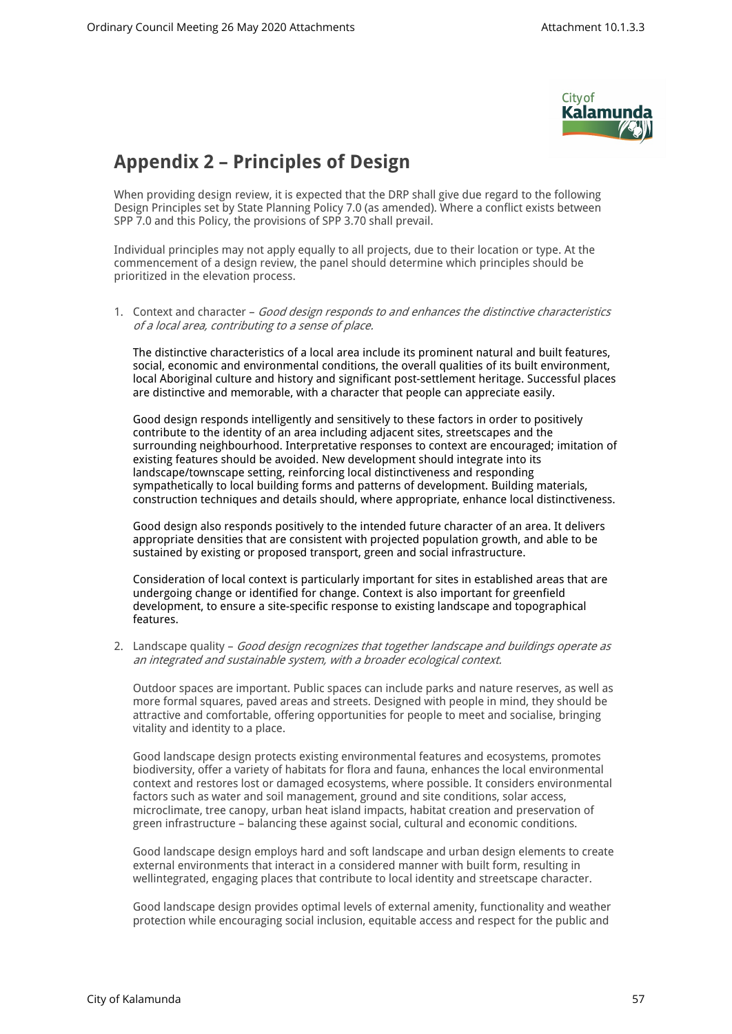

## **Appendix 2 – Principles of Design**

When providing design review, it is expected that the DRP shall give due regard to the following Design Principles set by State Planning Policy 7.0 (as amended). Where a conflict exists between SPP 7.0 and this Policy, the provisions of SPP 3.70 shall prevail.

Individual principles may not apply equally to all projects, due to their location or type. At the commencement of a design review, the panel should determine which principles should be prioritized in the elevation process.

1. Context and character – *Good design responds to and enhances the distinctive characteristics of a local area, contributing to a sense of place.* 

The distinctive characteristics of a local area include its prominent natural and built features, social, economic and environmental conditions, the overall qualities of its built environment, local Aboriginal culture and history and significant post-settlement heritage. Successful places are distinctive and memorable, with a character that people can appreciate easily.

Good design responds intelligently and sensitively to these factors in order to positively contribute to the identity of an area including adjacent sites, streetscapes and the surrounding neighbourhood. Interpretative responses to context are encouraged; imitation of existing features should be avoided. New development should integrate into its landscape/townscape setting, reinforcing local distinctiveness and responding sympathetically to local building forms and patterns of development. Building materials, construction techniques and details should, where appropriate, enhance local distinctiveness.

Good design also responds positively to the intended future character of an area. It delivers appropriate densities that are consistent with projected population growth, and able to be sustained by existing or proposed transport, green and social infrastructure.

Consideration of local context is particularly important for sites in established areas that are undergoing change or identified for change. Context is also important for greenfield development, to ensure a site-specific response to existing landscape and topographical features.

2. Landscape quality – *Good design recognizes that together landscape and buildings operate as an integrated and sustainable system, with a broader ecological context.* 

Outdoor spaces are important. Public spaces can include parks and nature reserves, as well as more formal squares, paved areas and streets. Designed with people in mind, they should be attractive and comfortable, offering opportunities for people to meet and socialise, bringing vitality and identity to a place.

Good landscape design protects existing environmental features and ecosystems, promotes biodiversity, offer a variety of habitats for flora and fauna, enhances the local environmental context and restores lost or damaged ecosystems, where possible. It considers environmental factors such as water and soil management, ground and site conditions, solar access, microclimate, tree canopy, urban heat island impacts, habitat creation and preservation of green infrastructure – balancing these against social, cultural and economic conditions.

Good landscape design employs hard and soft landscape and urban design elements to create external environments that interact in a considered manner with built form, resulting in wellintegrated, engaging places that contribute to local identity and streetscape character.

Good landscape design provides optimal levels of external amenity, functionality and weather protection while encouraging social inclusion, equitable access and respect for the public and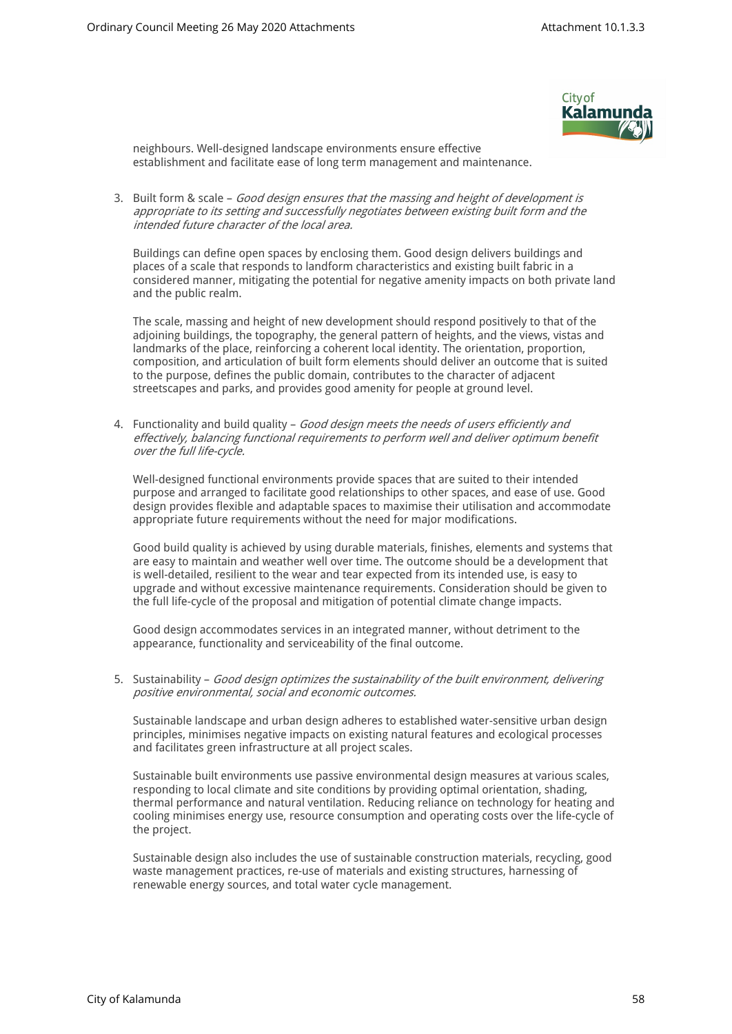

neighbours. Well-designed landscape environments ensure effective establishment and facilitate ease of long term management and maintenance.

3. Built form & scale – *Good design ensures that the massing and height of development is appropriate to its setting and successfully negotiates between existing built form and the intended future character of the local area.* 

Buildings can define open spaces by enclosing them. Good design delivers buildings and places of a scale that responds to landform characteristics and existing built fabric in a considered manner, mitigating the potential for negative amenity impacts on both private land and the public realm.

The scale, massing and height of new development should respond positively to that of the adjoining buildings, the topography, the general pattern of heights, and the views, vistas and landmarks of the place, reinforcing a coherent local identity. The orientation, proportion, composition, and articulation of built form elements should deliver an outcome that is suited to the purpose, defines the public domain, contributes to the character of adjacent streetscapes and parks, and provides good amenity for people at ground level.

4. Functionality and build quality – *Good design meets the needs of users efficiently and effectively, balancing functional requirements to perform well and deliver optimum benefit over the full life-cycle.*

Well-designed functional environments provide spaces that are suited to their intended purpose and arranged to facilitate good relationships to other spaces, and ease of use. Good design provides flexible and adaptable spaces to maximise their utilisation and accommodate appropriate future requirements without the need for major modifications.

Good build quality is achieved by using durable materials, finishes, elements and systems that are easy to maintain and weather well over time. The outcome should be a development that is well-detailed, resilient to the wear and tear expected from its intended use, is easy to upgrade and without excessive maintenance requirements. Consideration should be given to the full life-cycle of the proposal and mitigation of potential climate change impacts.

Good design accommodates services in an integrated manner, without detriment to the appearance, functionality and serviceability of the final outcome.

5. Sustainability – *Good design optimizes the sustainability of the built environment, delivering positive environmental, social and economic outcomes.* 

Sustainable landscape and urban design adheres to established water-sensitive urban design principles, minimises negative impacts on existing natural features and ecological processes and facilitates green infrastructure at all project scales.

Sustainable built environments use passive environmental design measures at various scales, responding to local climate and site conditions by providing optimal orientation, shading, thermal performance and natural ventilation. Reducing reliance on technology for heating and cooling minimises energy use, resource consumption and operating costs over the life-cycle of the project.

Sustainable design also includes the use of sustainable construction materials, recycling, good waste management practices, re-use of materials and existing structures, harnessing of renewable energy sources, and total water cycle management.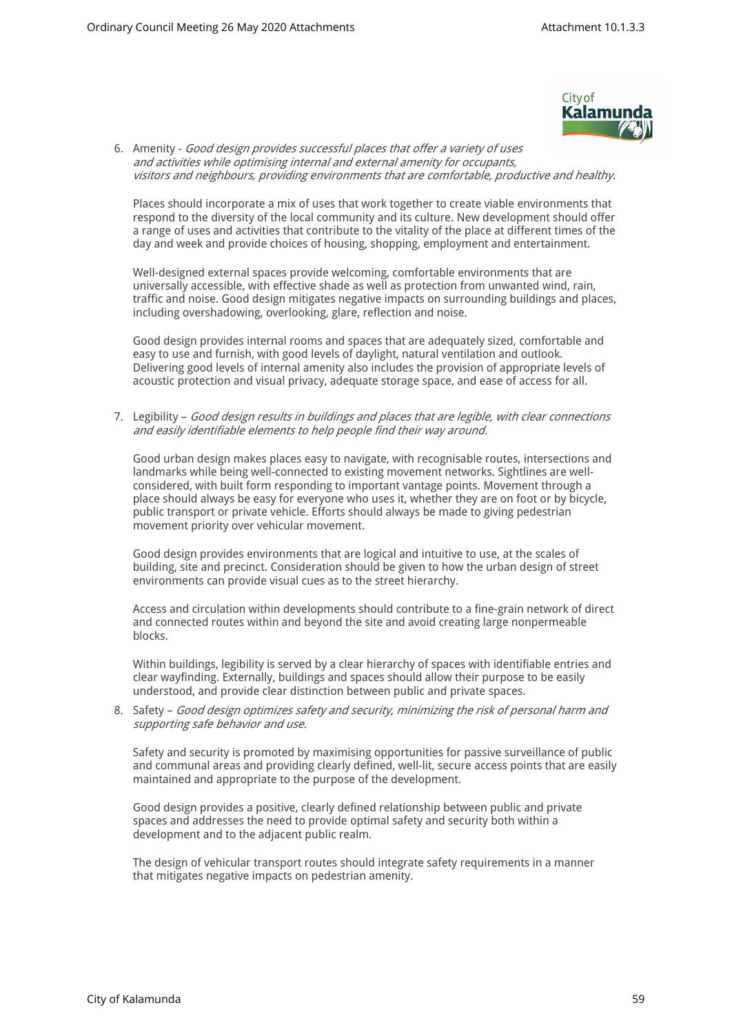

6. Amenity - *Good design provides successful places that offer a variety of uses and activities while optimising internal and external amenity for occupants, visitors and neighbours, providing environments that are comfortable, productive and healthy.* 

Places should incorporate a mix of uses that work together to create viable environments that respond to the diversity of the local community and its culture. New development should offer a range of uses and activities that contribute to the vitality of the place at different times of the day and week and provide choices of housing, shopping, employment and entertainment.

Well-designed external spaces provide welcoming, comfortable environments that are universally accessible, with effective shade as well as protection from unwanted wind, rain, traffic and noise. Good design mitigates negative impacts on surrounding buildings and places, including overshadowing, overlooking, glare, reflection and noise.

Good design provides internal rooms and spaces that are adequately sized, comfortable and easy to use and furnish, with good levels of daylight, natural ventilation and outlook. Delivering good levels of internal amenity also includes the provision of appropriate levels of acoustic protection and visual privacy, adequate storage space, and ease of access for all.

7. Legibility – *Good design results in buildings and places that are legible, with clear connections and easily identifiable elements to help people find their way around.* 

Good urban design makes places easy to navigate, with recognisable routes, intersections and landmarks while being well-connected to existing movement networks. Sightlines are wellconsidered, with built form responding to important vantage points. Movement through a place should always be easy for everyone who uses it, whether they are on foot or by bicycle, public transport or private vehicle. Efforts should always be made to giving pedestrian movement priority over vehicular movement.

Good design provides environments that are logical and intuitive to use, at the scales of building, site and precinct. Consideration should be given to how the urban design of street environments can provide visual cues as to the street hierarchy.

Access and circulation within developments should contribute to a fine-grain network of direct and connected routes within and beyond the site and avoid creating large nonpermeable blocks.

Within buildings, legibility is served by a clear hierarchy of spaces with identifiable entries and clear wayfinding. Externally, buildings and spaces should allow their purpose to be easily understood, and provide clear distinction between public and private spaces.

8. Safety – *Good design optimizes safety and security, minimizing the risk of personal harm and supporting safe behavior and use.* 

Safety and security is promoted by maximising opportunities for passive surveillance of public and communal areas and providing clearly defined, well-lit, secure access points that are easily maintained and appropriate to the purpose of the development.

Good design provides a positive, clearly defined relationship between public and private spaces and addresses the need to provide optimal safety and security both within a development and to the adjacent public realm.

The design of vehicular transport routes should integrate safety requirements in a manner that mitigates negative impacts on pedestrian amenity.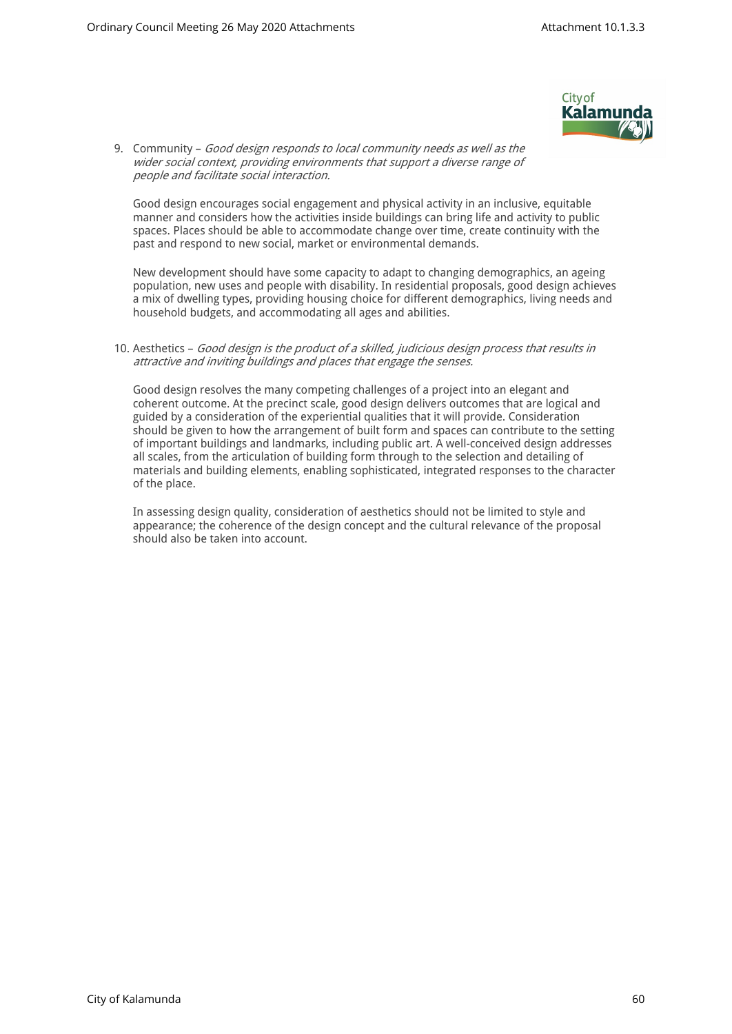

9. Community – *Good design responds to local community needs as well as the wider social context, providing environments that support a diverse range of people and facilitate social interaction.* 

Good design encourages social engagement and physical activity in an inclusive, equitable manner and considers how the activities inside buildings can bring life and activity to public spaces. Places should be able to accommodate change over time, create continuity with the past and respond to new social, market or environmental demands.

New development should have some capacity to adapt to changing demographics, an ageing population, new uses and people with disability. In residential proposals, good design achieves a mix of dwelling types, providing housing choice for different demographics, living needs and household budgets, and accommodating all ages and abilities.

#### 10. Aesthetics – *Good design is the product of a skilled, judicious design process that results in attractive and inviting buildings and places that engage the senses.*

Good design resolves the many competing challenges of a project into an elegant and coherent outcome. At the precinct scale, good design delivers outcomes that are logical and guided by a consideration of the experiential qualities that it will provide. Consideration should be given to how the arrangement of built form and spaces can contribute to the setting of important buildings and landmarks, including public art. A well-conceived design addresses all scales, from the articulation of building form through to the selection and detailing of materials and building elements, enabling sophisticated, integrated responses to the character of the place.

In assessing design quality, consideration of aesthetics should not be limited to style and appearance; the coherence of the design concept and the cultural relevance of the proposal should also be taken into account.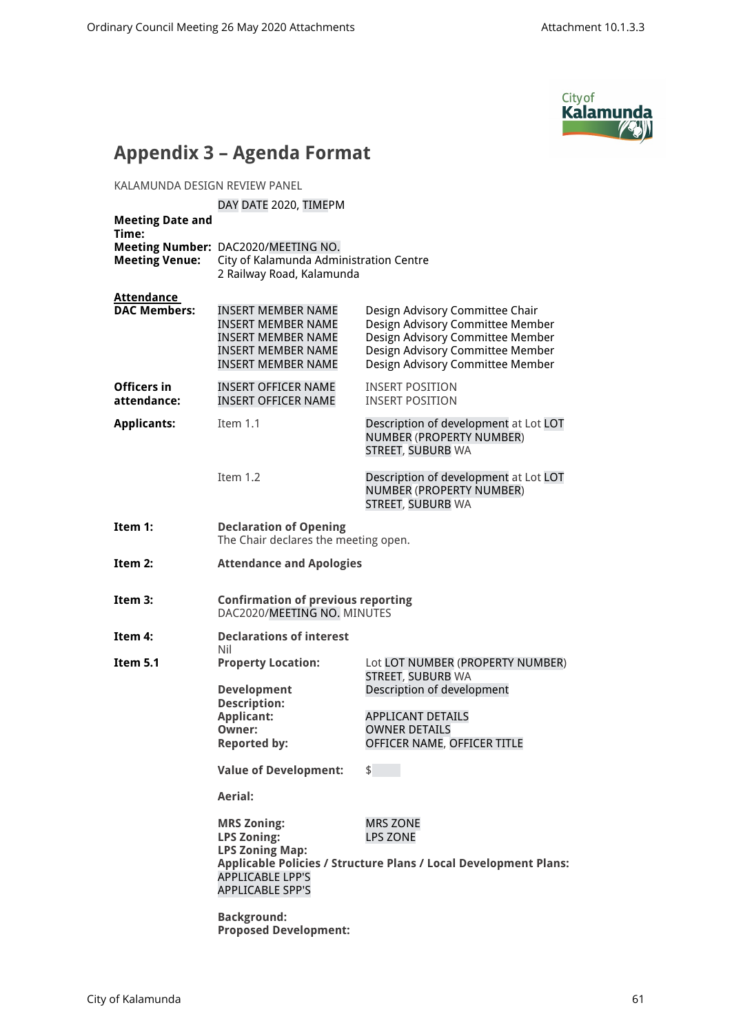

## **Appendix 3 – Agenda Format**

KALAMUNDA DESIGN REVIEW PANEL

#### DAY DATE 2020, TIMEPM

| <b>Meeting Date and</b><br>Time:         |                                                                                                                                                                                                                                               |                                                                                                                                                                                                                                      |
|------------------------------------------|-----------------------------------------------------------------------------------------------------------------------------------------------------------------------------------------------------------------------------------------------|--------------------------------------------------------------------------------------------------------------------------------------------------------------------------------------------------------------------------------------|
| <b>Meeting Venue:</b>                    | Meeting Number: DAC2020/MEETING NO.<br>City of Kalamunda Administration Centre<br>2 Railway Road, Kalamunda                                                                                                                                   |                                                                                                                                                                                                                                      |
| <u>Attendance</u><br><b>DAC Members:</b> | <b>INSERT MEMBER NAME</b><br><b>INSERT MEMBER NAME</b><br><b>INSERT MEMBER NAME</b><br><b>INSERT MEMBER NAME</b><br><b>INSERT MEMBER NAME</b>                                                                                                 | Design Advisory Committee Chair<br>Design Advisory Committee Member<br>Design Advisory Committee Member<br>Design Advisory Committee Member<br>Design Advisory Committee Member                                                      |
| Officers in<br>attendance:               | <b>INSERT OFFICER NAME</b><br><b>INSERT OFFICER NAME</b>                                                                                                                                                                                      | <b>INSERT POSITION</b><br><b>INSERT POSITION</b>                                                                                                                                                                                     |
| <b>Applicants:</b>                       | Item 1.1                                                                                                                                                                                                                                      | Description of development at Lot LOT<br>NUMBER (PROPERTY NUMBER)<br>STREET, SUBURB WA                                                                                                                                               |
|                                          | Item 1.2                                                                                                                                                                                                                                      | Description of development at Lot LOT<br>NUMBER (PROPERTY NUMBER)<br><b>STREET, SUBURB WA</b>                                                                                                                                        |
| Item 1:                                  | <b>Declaration of Opening</b><br>The Chair declares the meeting open.                                                                                                                                                                         |                                                                                                                                                                                                                                      |
| Item 2:                                  | <b>Attendance and Apologies</b>                                                                                                                                                                                                               |                                                                                                                                                                                                                                      |
| Item 3:                                  | <b>Confirmation of previous reporting</b><br>DAC2020/MEETING NO. MINUTES                                                                                                                                                                      |                                                                                                                                                                                                                                      |
| Item 4:                                  | <b>Declarations of interest</b><br>Nil                                                                                                                                                                                                        |                                                                                                                                                                                                                                      |
| Item 5.1                                 | <b>Property Location:</b><br><b>Development</b><br><b>Description:</b><br><b>Applicant:</b><br>Owner:<br><b>Reported by:</b><br><b>Value of Development:</b><br>Aerial:<br><b>MRS Zoning:</b><br><b>LPS Zoning:</b><br><b>LPS Zoning Map:</b> | Lot LOT NUMBER (PROPERTY NUMBER)<br><b>STREET, SUBURB WA</b><br>Description of development<br><b>APPLICANT DETAILS</b><br><b>OWNER DETAILS</b><br>OFFICER NAME, OFFICER TITLE<br>$\frac{1}{2}$<br><b>MRS ZONE</b><br><b>LPS ZONE</b> |
|                                          | <b>APPLICABLE LPP'S</b><br><b>APPLICABLE SPP'S</b>                                                                                                                                                                                            | Applicable Policies / Structure Plans / Local Development Plans:                                                                                                                                                                     |
|                                          | <b>Background:</b><br><b>Proposed Development:</b>                                                                                                                                                                                            |                                                                                                                                                                                                                                      |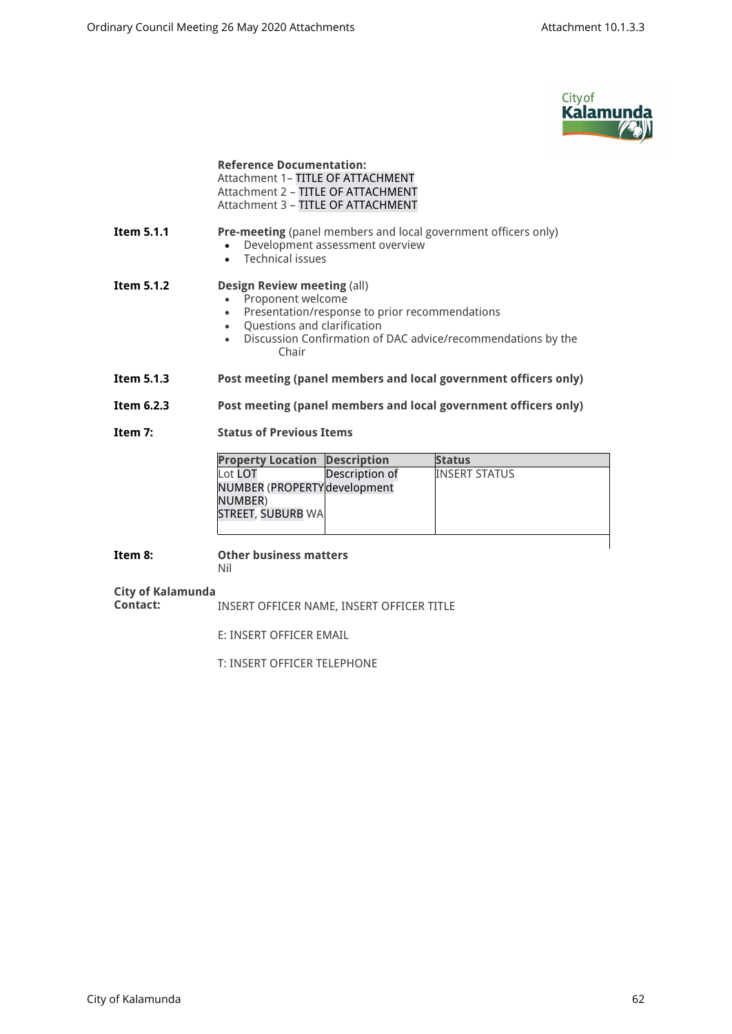

|                               | <b>Reference Documentation:</b><br>Attachment 1- TITLE OF ATTACHMENT<br>Attachment 2 - TITLE OF ATTACHMENT<br>Attachment 3 - TITLE OF ATTACHMENT                                                                                              |                |                                                                 |
|-------------------------------|-----------------------------------------------------------------------------------------------------------------------------------------------------------------------------------------------------------------------------------------------|----------------|-----------------------------------------------------------------|
| Item 5.1.1                    | Pre-meeting (panel members and local government officers only)<br>Development assessment overview<br>• Technical issues                                                                                                                       |                |                                                                 |
| Item 5.1.2                    | <b>Design Review meeting (all)</b><br>Proponent welcome<br>Presentation/response to prior recommendations<br>$\bullet$<br>• Questions and clarification<br>Discussion Confirmation of DAC advice/recommendations by the<br>$\bullet$<br>Chair |                |                                                                 |
| Item 5.1.3                    |                                                                                                                                                                                                                                               |                | Post meeting (panel members and local government officers only) |
| Item 6.2.3                    |                                                                                                                                                                                                                                               |                | Post meeting (panel members and local government officers only) |
| Item 7:                       | <b>Status of Previous Items</b>                                                                                                                                                                                                               |                |                                                                 |
|                               | <b>Property Location</b>                                                                                                                                                                                                                      | Description    | <b>Status</b>                                                   |
|                               | Lot LOT<br>NUMBER (PROPERTY development<br>NUMBER)<br><b>STREET, SUBURB WA</b>                                                                                                                                                                | Description of | <b>INSERT STATUS</b>                                            |
| Item 8:                       | <b>Other business matters</b><br>Nil                                                                                                                                                                                                          |                |                                                                 |
| City of Kalamunda<br>Contact: | INSERT OFFICER NAME, INSERT OFFICER TITLE                                                                                                                                                                                                     |                |                                                                 |
|                               | E: INSERT OFFICER EMAIL                                                                                                                                                                                                                       |                |                                                                 |
|                               |                                                                                                                                                                                                                                               |                |                                                                 |

T: INSERT OFFICER TELEPHONE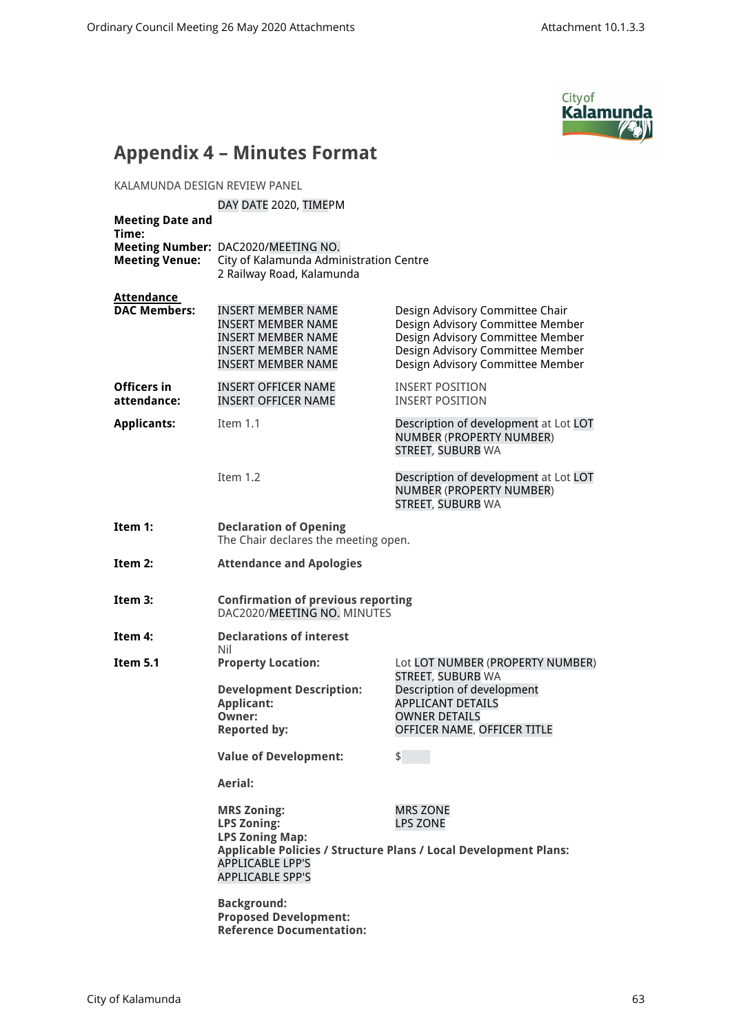

## **Appendix 4 – Minutes Format**

KALAMUNDA DESIGN REVIEW PANEL

#### DAY DATE 2020, TIMEPM

| <b>Meeting Date and</b><br>Time:         |                                                                                                                                                    |                                                                                                                                                                                 |
|------------------------------------------|----------------------------------------------------------------------------------------------------------------------------------------------------|---------------------------------------------------------------------------------------------------------------------------------------------------------------------------------|
| <b>Meeting Venue:</b>                    | Meeting Number: DAC2020/MEETING NO.<br>City of Kalamunda Administration Centre<br>2 Railway Road, Kalamunda                                        |                                                                                                                                                                                 |
| <b>Attendance</b><br><b>DAC Members:</b> | <b>INSERT MEMBER NAME</b><br><b>INSERT MEMBER NAME</b><br>INSERT MEMBER NAME<br><b>INSERT MEMBER NAME</b><br><b>INSERT MEMBER NAME</b>             | Design Advisory Committee Chair<br>Design Advisory Committee Member<br>Design Advisory Committee Member<br>Design Advisory Committee Member<br>Design Advisory Committee Member |
| Officers in<br>attendance:               | <b>INSERT OFFICER NAME</b><br><b>INSERT OFFICER NAME</b>                                                                                           | <b>INSERT POSITION</b><br><b>INSERT POSITION</b>                                                                                                                                |
| <b>Applicants:</b>                       | Item 1.1                                                                                                                                           | Description of development at Lot LOT<br>NUMBER (PROPERTY NUMBER)<br>STREET, SUBURB WA                                                                                          |
|                                          | Item 1.2                                                                                                                                           | Description of development at Lot LOT<br>NUMBER (PROPERTY NUMBER)<br><b>STREET, SUBURB WA</b>                                                                                   |
| Item 1:                                  | <b>Declaration of Opening</b><br>The Chair declares the meeting open.                                                                              |                                                                                                                                                                                 |
| Item 2:                                  | <b>Attendance and Apologies</b>                                                                                                                    |                                                                                                                                                                                 |
| Item 3:                                  | <b>Confirmation of previous reporting</b><br>DAC2020/MEETING NO. MINUTES                                                                           |                                                                                                                                                                                 |
| Item 4:                                  | <b>Declarations of interest</b><br>Nil                                                                                                             |                                                                                                                                                                                 |
| Item 5.1                                 | <b>Property Location:</b><br><b>Development Description:</b><br><b>Applicant:</b><br>Owner:<br><b>Reported by:</b><br><b>Value of Development:</b> | Lot LOT NUMBER (PROPERTY NUMBER)<br>STREET, SUBURB WA<br>Description of development<br><b>APPLICANT DETAILS</b><br><b>OWNER DETAILS</b><br>OFFICER NAME, OFFICER TITLE<br>\$    |
|                                          | Aerial:                                                                                                                                            |                                                                                                                                                                                 |
|                                          | <b>MRS Zoning:</b><br><b>LPS Zoning:</b><br><b>LPS Zoning Map:</b><br><b>APPLICABLE LPP'S</b><br><b>APPLICABLE SPP'S</b>                           | <b>MRS ZONE</b><br><b>LPS ZONE</b><br>Applicable Policies / Structure Plans / Local Development Plans:                                                                          |
|                                          | <b>Background:</b><br><b>Proposed Development:</b><br><b>Reference Documentation:</b>                                                              |                                                                                                                                                                                 |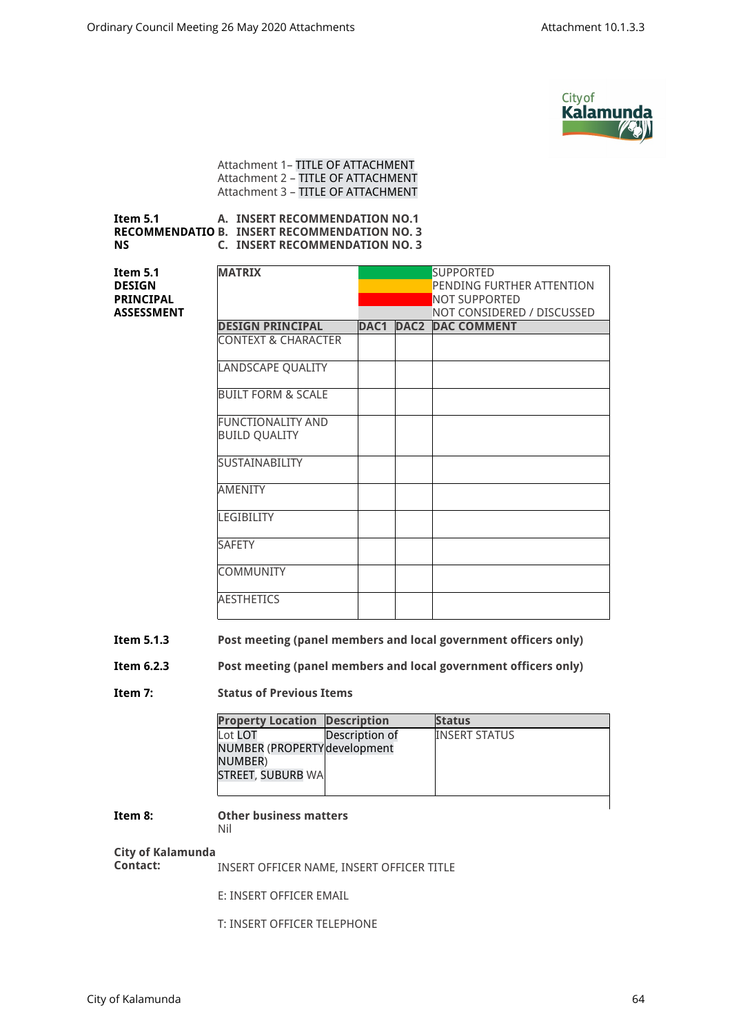

Attachment 1– TITLE OF ATTACHMENT Attachment 2 – TITLE OF ATTACHMENT Attachment 3 – TITLE OF ATTACHMENT

#### **Item 5.1 RECOMMENDATIO B. INSERT RECOMMENDATION NO. 3 NS A. INSERT RECOMMENDATION NO.1 C. INSERT RECOMMENDATION NO. 3**

| <b>MATRIX</b>                 | <b>SUPPORTED</b> |      |                            |
|-------------------------------|------------------|------|----------------------------|
|                               |                  |      | PENDING FURTHER ATTENTION  |
|                               |                  |      | NOT SUPPORTED              |
|                               |                  |      | NOT CONSIDERED / DISCUSSED |
| <b>DESIGN PRINCIPAL</b>       | DAC1             | DAC2 | <b>DAC COMMENT</b>         |
| CONTEXT & CHARACTER           |                  |      |                            |
| LANDSCAPE QUALITY             |                  |      |                            |
| <b>BUILT FORM &amp; SCALE</b> |                  |      |                            |
| <b>FUNCTIONALITY AND</b>      |                  |      |                            |
| <b>BUILD QUALITY</b>          |                  |      |                            |
| <b>SUSTAINABILITY</b>         |                  |      |                            |
| <b>AMENITY</b>                |                  |      |                            |
| LEGIBILITY                    |                  |      |                            |
| <b>SAFETY</b>                 |                  |      |                            |
| <b>COMMUNITY</b>              |                  |      |                            |
| <b>AESTHETICS</b>             |                  |      |                            |

## **Item 5.1.3 Post meeting (panel members and local government officers only)**

#### **Item 6.2.3 Post meeting (panel members and local government officers only)**

#### **Item 7: Status of Previous Items**

| <b>Property Location Description</b> |                | <b>Status</b>        |
|--------------------------------------|----------------|----------------------|
| Lot LOT                              | Description of | <b>INSERT STATUS</b> |
| NUMBER (PROPERTY development         |                |                      |
| NUMBER)                              |                |                      |
| STREET, SUBURB WA                    |                |                      |
|                                      |                |                      |
|                                      |                |                      |

## **Item 8: Other business matters**

## Nil

# **City of Kalamunda**

**Item 5.1 DESIGN PRINCIPAL ASSESSMENT**

**Contact:** INSERT OFFICER NAME, INSERT OFFICER TITLE

E: INSERT OFFICER EMAIL

T: INSERT OFFICER TELEPHONE